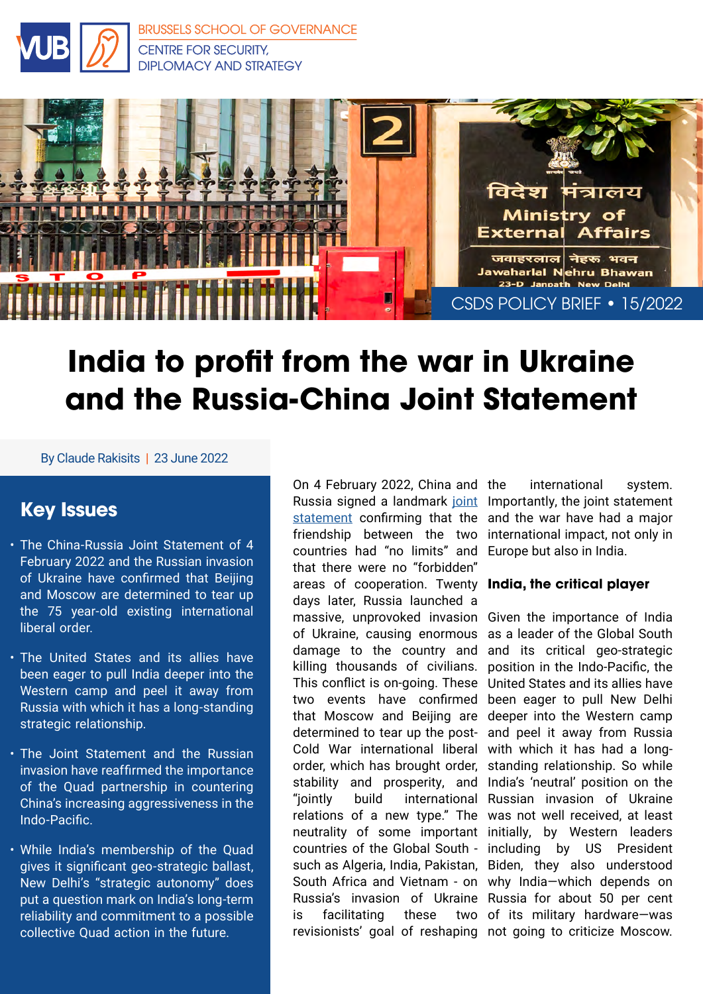

[BRUSSELS SCHOOL OF GOVERNANCE](https://brussels-school.be/research/security-diplomacy-and-strategy) CENTRE FOR SECURITY, DIPLOMACY AND STRATEGY



# **India to profit from the war in Ukraine and the Russia-China Joint Statement**

By Claude Rakisits | 23 June 2022

## **Key Issues**

- The China-Russia Joint Statement of 4 February 2022 and the Russian invasion of Ukraine have confirmed that Beijing and Moscow are determined to tear up the 75 year-old existing international liberal order.
- The United States and its allies have been eager to pull India deeper into the Western camp and peel it away from Russia with which it has a long-standing strategic relationship.
- The Joint Statement and the Russian invasion have reaffirmed the importance of the Quad partnership in countering China's increasing aggressiveness in the Indo-Pacific.
- While India's membership of the Quad gives it significant geo-strategic ballast, New Delhi's "strategic autonomy" does put a question mark on India's long-term reliability and commitment to a possible collective Quad action in the future.

On 4 February 2022, China and Russia signed a landmark [joint](http://en.kremlin.ru/supplement/5770) Importantly, the joint statement [statement](http://en.kremlin.ru/supplement/5770) confirming that the friendship between the two international impact, not only in countries had "no limits" and that there were no "forbidden" areas of cooperation. Twenty **India, the critical player** days later, Russia launched a massive, unprovoked invasion Given the importance of India of Ukraine, causing enormous damage to the country and killing thousands of civilians. This conflict is on-going. These two events have confirmed that Moscow and Beijing are determined to tear up the post-Cold War international liberal order, which has brought order, stability and prosperity, and "jointly build international Russian invasion of Ukraine relations of a new type." The was not well received, at least neutrality of some important initially, by Western leaders countries of the Global South - including by US President such as Algeria, India, Pakistan, Biden, they also understood South Africa and Vietnam - on why India—which depends on Russia's invasion of Ukraine Russia for about 50 per cent is facilitating these revisionists' goal of reshaping not going to criticize Moscow.

international system. and the war have had a major Europe but also in India.

as a leader of the Global South and its critical geo-strategic position in the Indo-Pacific, the United States and its allies have been eager to pull New Delhi deeper into the Western camp and peel it away from Russia with which it has had a longstanding relationship. So while India's 'neutral' position on the two of its military hardware-was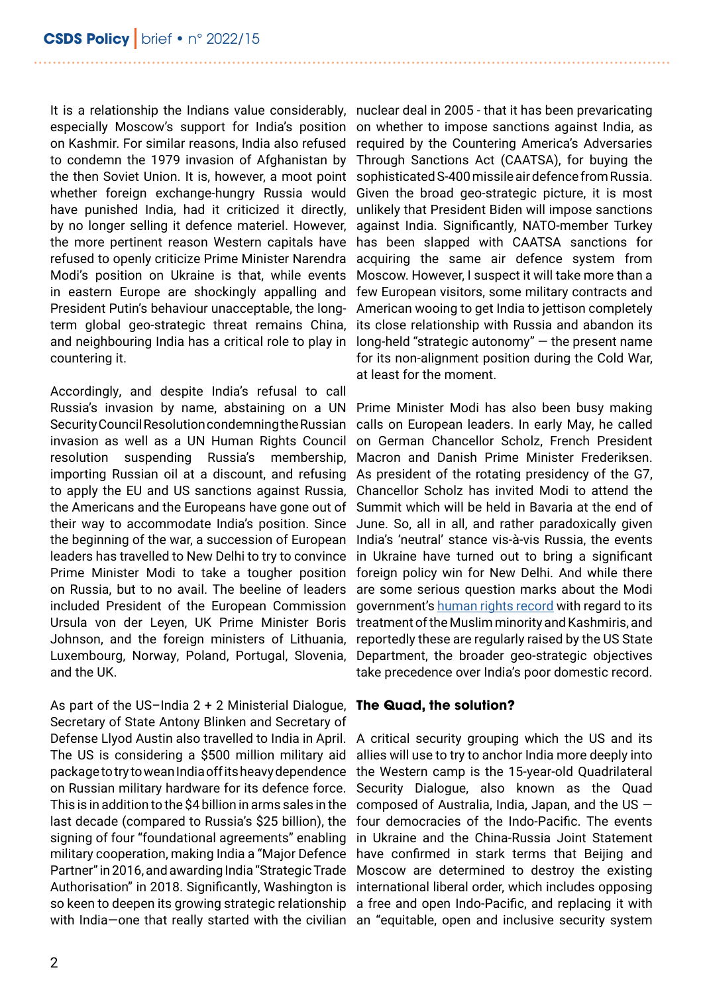It is a relationship the Indians value considerably, nuclear deal in 2005 - that it has been prevaricating especially Moscow's support for India's position on whether to impose sanctions against India, as on Kashmir. For similar reasons, India also refused required by the Countering America's Adversaries to condemn the 1979 invasion of Afghanistan by the then Soviet Union. It is, however, a moot point whether foreign exchange-hungry Russia would Given the broad geo-strategic picture, it is most have punished India, had it criticized it directly, by no longer selling it defence materiel. However, the more pertinent reason Western capitals have refused to openly criticize Prime Minister Narendra Modi's position on Ukraine is that, while events in eastern Europe are shockingly appalling and President Putin's behaviour unacceptable, the longterm global geo-strategic threat remains China, and neighbouring India has a critical role to play in countering it.

Accordingly, and despite India's refusal to call Russia's invasion by name, abstaining on a UN Security Council Resolution condemning the Russian invasion as well as a UN Human Rights Council resolution suspending Russia's membership, importing Russian oil at a discount, and refusing to apply the EU and US sanctions against Russia, the Americans and the Europeans have gone out of their way to accommodate India's position. Since the beginning of the war, a succession of European leaders has travelled to New Delhi to try to convince Prime Minister Modi to take a tougher position on Russia, but to no avail. The beeline of leaders included President of the European Commission Ursula von der Leyen, UK Prime Minister Boris Johnson, and the foreign ministers of Lithuania, Luxembourg, Norway, Poland, Portugal, Slovenia, and the UK.

As part of the US–India 2 + 2 Ministerial Dialogue, Secretary of State Antony Blinken and Secretary of Defense Llyod Austin also travelled to India in April. The US is considering a \$500 million military aid package to try to wean India off its heavy dependence on Russian military hardware for its defence force. This is in addition to the \$4 billion in arms sales in the last decade (compared to Russia's \$25 billion), the signing of four "foundational agreements" enabling military cooperation, making India a "Major Defence Partner" in 2016, and awarding India "Strategic Trade Authorisation" in 2018. Significantly, Washington is so keen to deepen its growing strategic relationship with India—one that really started with the civilian an "equitable, open and inclusive security system

Through Sanctions Act (CAATSA), for buying the sophisticated S-400 missile air defence from Russia. unlikely that President Biden will impose sanctions against India. Significantly, NATO-member Turkey has been slapped with CAATSA sanctions for acquiring the same air defence system from Moscow. However, I suspect it will take more than a few European visitors, some military contracts and American wooing to get India to jettison completely its close relationship with Russia and abandon its long-held "strategic autonomy" — the present name for its non-alignment position during the Cold War, at least for the moment.

Prime Minister Modi has also been busy making calls on European leaders. In early May, he called on German Chancellor Scholz, French President Macron and Danish Prime Minister Frederiksen. As president of the rotating presidency of the G7, Chancellor Scholz has invited Modi to attend the Summit which will be held in Bavaria at the end of June. So, all in all, and rather paradoxically given India's 'neutral' stance vis-à-vis Russia, the events in Ukraine have turned out to bring a significant foreign policy win for New Delhi. And while there are some serious question marks about the Modi government's [human rights record](https://www.state.gov/reports/2021-country-reports-on-human-rights-practices/india/) with regard to its treatment of the Muslim minority and Kashmiris, and reportedly these are regularly raised by the US State Department, the broader geo-strategic objectives take precedence over India's poor domestic record.

#### **The Quad, the solution?**

A critical security grouping which the US and its allies will use to try to anchor India more deeply into the Western camp is the 15-year-old Quadrilateral Security Dialogue, also known as the Quad composed of Australia, India, Japan, and the US  $$ four democracies of the Indo-Pacific. The events in Ukraine and the China-Russia Joint Statement have confirmed in stark terms that Beijing and Moscow are determined to destroy the existing international liberal order, which includes opposing a free and open Indo-Pacific, and replacing it with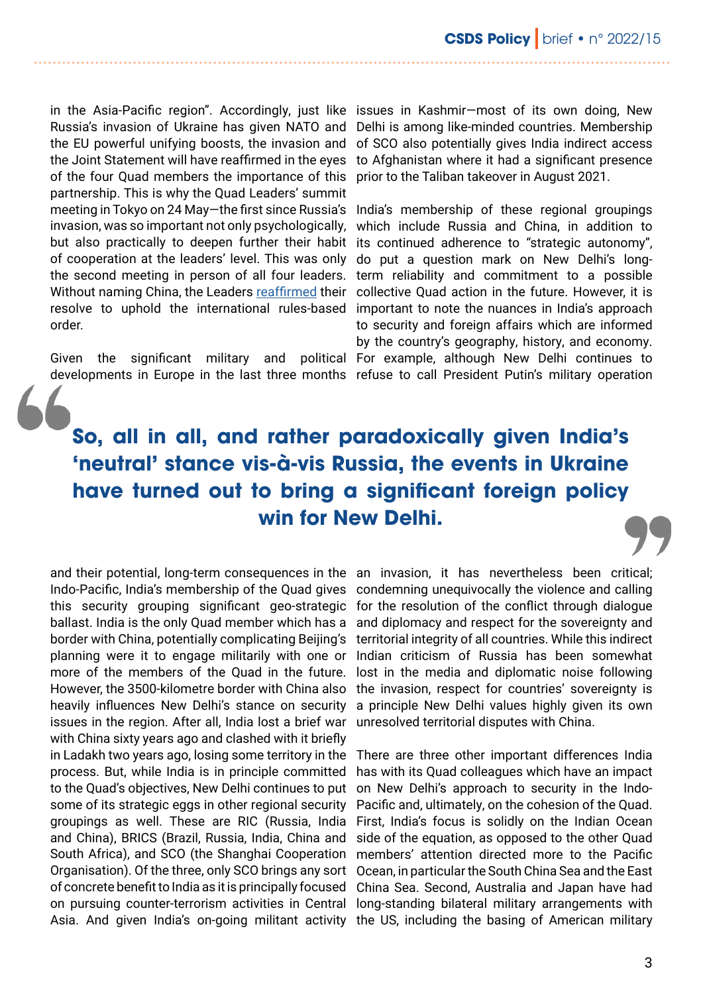in the Asia-Pacific region". Accordingly, just like issues in Kashmir–most of its own doing, New Russia's invasion of Ukraine has given NATO and the EU powerful unifying boosts, the invasion and the Joint Statement will have reaffirmed in the eyes to Afghanistan where it had a significant presence of the four Quad members the importance of this prior to the Taliban takeover in August 2021. partnership. This is why the Quad Leaders' summit invasion, was so important not only psychologically, of cooperation at the leaders' level. This was only do put a question mark on New Delhi's longthe second meeting in person of all four leaders. order.

developments in Europe in the last three months refuse to call President Putin's military operation

Delhi is among like-minded countries. Membership of SCO also potentially gives India indirect access

meeting in Tokyo on 24 May—the first since Russia's India's membership of these regional groupings but also practically to deepen further their habit its continued adherence to "strategic autonomy", Without naming China, the Leaders [reaffirmed](https://www.whitehouse.gov/briefing-room/statements-releases/2022/05/24/quad-joint-leaders-statement/) their collective Quad action in the future. However, it is resolve to uphold the international rules-based important to note the nuances in India's approach Given the significant military and political For example, although New Delhi continues to which include Russia and China, in addition to term reliability and commitment to a possible to security and foreign affairs which are informed by the country's geography, history, and economy.

## **So, all in all, and rather paradoxically given India's 'neutral' stance vis-à-vis Russia, the events in Ukraine have turned out to bring a significant foreign policy win for New Delhi.**

and their potential, long-term consequences in the an invasion, it has nevertheless been critical; Indo-Pacific, India's membership of the Quad gives this security grouping significant geo-strategic ballast. India is the only Quad member which has a border with China, potentially complicating Beijing's planning were it to engage militarily with one or more of the members of the Quad in the future. However, the 3500-kilometre border with China also heavily influences New Delhi's stance on security issues in the region. After all, India lost a brief war with China sixty years ago and clashed with it briefly in Ladakh two years ago, losing some territory in the process. But, while India is in principle committed to the Quad's objectives, New Delhi continues to put some of its strategic eggs in other regional security groupings as well. These are RIC (Russia, India and China), BRICS (Brazil, Russia, India, China and South Africa), and SCO (the Shanghai Cooperation Organisation). Of the three, only SCO brings any sort of concrete benefit to India as it is principally focused Asia. And given India's on-going militant activity the US, including the basing of American military

condemning unequivocally the violence and calling for the resolution of the conflict through dialogue and diplomacy and respect for the sovereignty and territorial integrity of all countries. While this indirect Indian criticism of Russia has been somewhat lost in the media and diplomatic noise following the invasion, respect for countries' sovereignty is a principle New Delhi values highly given its own unresolved territorial disputes with China.

on pursuing counter-terrorism activities in Central long-standing bilateral military arrangements with There are three other important differences India has with its Quad colleagues which have an impact on New Delhi's approach to security in the Indo-Pacific and, ultimately, on the cohesion of the Quad. First, India's focus is solidly on the Indian Ocean side of the equation, as opposed to the other Quad members' attention directed more to the Pacific Ocean, in particular the South China Sea and the East China Sea. Second, Australia and Japan have had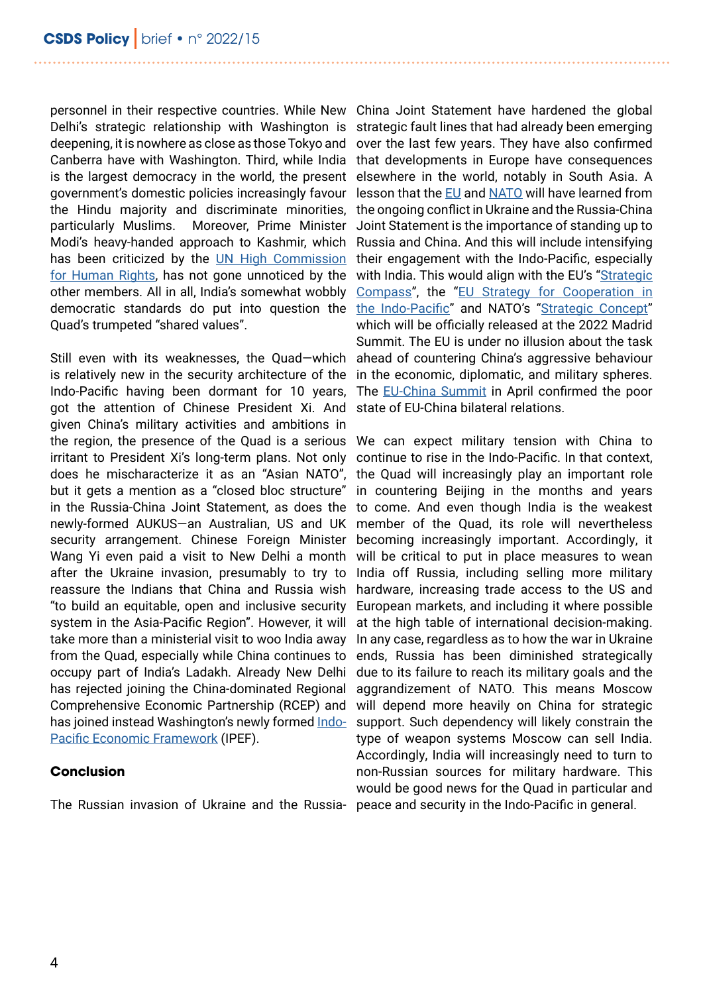personnel in their respective countries. While New China Joint Statement have hardened the global Delhi's strategic relationship with Washington is deepening, it is nowhere as close as those Tokyo and over the last few years. They have also confirmed Canberra have with Washington. Third, while India is the largest democracy in the world, the present government's domestic policies increasingly favour the Hindu majority and discriminate minorities, particularly Muslims. Moreover, Prime Minister Modi's heavy-handed approach to Kashmir, which Russia and China. And this will include intensifying has been criticized by the [UN High Commission](https://www.ohchr.org/sites/default/files/Documents/Countries/PK/KashmirUpdateReport_8July2019.pdf) [for Human Rights,](https://www.ohchr.org/sites/default/files/Documents/Countries/PK/KashmirUpdateReport_8July2019.pdf) has not gone unnoticed by the other members. All in all, India's somewhat wobbly democratic standards do put into question the [the Indo-Pacific"](https://data.consilium.europa.eu/doc/document/ST-7914-2021-INIT/en/pdf) and NATO's ["Strategic Concept"](https://www.nato.int/strategic-concept/) Quad's trumpeted "shared values".

Still even with its weaknesses, the Quad—which is relatively new in the security architecture of the Indo-Pacific having been dormant for 10 years, got the attention of Chinese President Xi. And given China's military activities and ambitions in the region, the presence of the Quad is a serious irritant to President Xi's long-term plans. Not only does he mischaracterize it as an "Asian NATO", but it gets a mention as a "closed bloc structure" in the Russia-China Joint Statement, as does the newly-formed AUKUS—an Australian, US and UK security arrangement. Chinese Foreign Minister Wang Yi even paid a visit to New Delhi a month after the Ukraine invasion, presumably to try to reassure the Indians that China and Russia wish "to build an equitable, open and inclusive security system in the Asia-Pacific Region". However, it will take more than a ministerial visit to woo India away from the Quad, especially while China continues to occupy part of India's Ladakh. Already New Delhi has rejected joining the China-dominated Regional Comprehensive Economic Partnership (RCEP) and has joined instead Washington's newly formed [Indo-](https://www.whitehouse.gov/briefing-room/statements-releases/2022/05/23/statement-on-indo-pacific-economic-framework-for-prosperity/)[Pacific Economic Framework](https://www.whitehouse.gov/briefing-room/statements-releases/2022/05/23/statement-on-indo-pacific-economic-framework-for-prosperity/) (IPEF).

#### **Conclusion**

The Russian invasion of Ukraine and the Russia-

strategic fault lines that had already been emerging that developments in Europe have consequences elsewhere in the world, notably in South Asia. A lesson that the [EU](https://brussels-school.be/publications/policy-briefs/rapprochement-times-crisis-war-ukraine-and-eu-japan-partnership) and [NATO](https://brussels-school.be/publications/policy-briefs/nato-and-china-addressing-new-challenges) will have learned from the ongoing conflict in Ukraine and the Russia-China Joint Statement is the importance of standing up to their engagement with the Indo-Pacific, especially with India. This would align with the EU's "Strategic [Compass](https://data.consilium.europa.eu/doc/document/ST-7371-2022-INIT/en/pdf)", the ["EU Strategy for Cooperation in](https://data.consilium.europa.eu/doc/document/ST-7914-2021-INIT/en/pdf)  which will be officially released at the 2022 Madrid Summit. The EU is under no illusion about the task ahead of countering China's aggressive behaviour in the economic, diplomatic, and military spheres. The **[EU-China Summit](https://www.eeas.europa.eu/eeas/eu-china-summit-speech-high-representativevice-president-josep-borrell-ep-plenary_en) in April confirmed the poor** state of EU-China bilateral relations.

We can expect military tension with China to continue to rise in the Indo-Pacific. In that context, the Quad will increasingly play an important role in countering Beijing in the months and years to come. And even though India is the weakest member of the Quad, its role will nevertheless becoming increasingly important. Accordingly, it will be critical to put in place measures to wean India off Russia, including selling more military hardware, increasing trade access to the US and European markets, and including it where possible at the high table of international decision-making. In any case, regardless as to how the war in Ukraine ends, Russia has been diminished strategically due to its failure to reach its military goals and the aggrandizement of NATO. This means Moscow will depend more heavily on China for strategic support. Such dependency will likely constrain the type of weapon systems Moscow can sell India. Accordingly, India will increasingly need to turn to non-Russian sources for military hardware. This would be good news for the Quad in particular and peace and security in the Indo-Pacific in general.